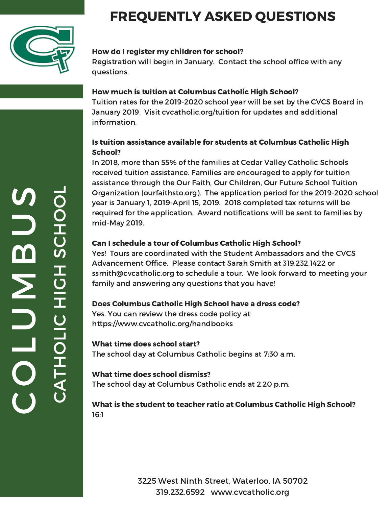

## FREQUENTLY ASKED QUESTIONS

#### How do I register my children for school?

Registration will begin in January. Contact the school office with any questions.

#### How much is tuition at Columbus Catholic High School?

Tuition rates for the 2019-2020 school year will be set by the CVCS Board in January 2019. Visit cvcatholic.org/tuition for updates and additional information.

#### Is tuition assistance available for students at Columbus Catholic High School?

In 2018, more than 55% of the families at Cedar Valley Catholic Schools received tuition assistance. Families are encouraged to apply for tuition assistance through the Our Faith, Our Children, Our Future School Tuition Organization (ourfaithsto.org). The application period for the 2019-2020 school year is January 1, 2019-April 15, 2019. 2018 completed tax returns will be required for the application. Award notifications will be sent to families by mid-May 2019.

#### Can I schedule a tour of Columbus Catholic High School?

Yes! Tours are coordinated with the Student Ambassadors and the CVCS Advancement Office. Please contact Sarah Smith at 319.232.1422 or ssmith@cvcatholic.org to schedule a tour. We look forward to meeting your family and answering any questions that you have!

#### Does Columbus Catholic High School have a dress code?

Yes. You can review the dress code policy at: https://www.cvcatholic.org/handbooks

#### What time does school start?

The school day at Columbus Catholic begins at 7:30 a.m.

#### What time does school dismiss?

The school day at Columbus Catholic ends at 2:20 p.m.

#### What is the student to teacher ratio at Columbus Catholic High School? 16:1

3225 West Ninth Street, Waterloo, IA 50702 319.232.6592 www.cvcatholic.org A